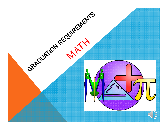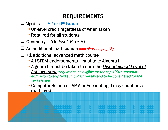## REQUIREMENTS

- $\Box$  Algebra I 8<sup>th</sup> or 9<sup>th</sup> Grade
	- **On-level credit regardless of when taken**
	- **Required for all students**
- Geometry *(On-level, K, or H)*
- An additional math course *(see chart on page 3)*
- $\Box$  +1 additional advanced math course
	- **All STEM endorsements must take Algebra II**
	- Algebra II must be taken to earn the *Distinguished Level of Achievement (required to be eligible for the top 10% automatic admission to any Texas Public University and to be considered for the Texas Grant)*
	- Computer Science II AP A or Accounting II may count as a math credit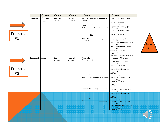|         |            | 8 <sup>th</sup> Grade | 9 <sup>th</sup> Grade   | 10 <sup>th</sup> Grade          | 11 <sup>th</sup> Grade                             | 12 <sup>th</sup> Grade                              |          |
|---------|------------|-----------------------|-------------------------|---------------------------------|----------------------------------------------------|-----------------------------------------------------|----------|
|         | Example #1 | 8 <sup>th</sup> Grade | Algebra I<br>(On-level) | Geometry<br>(On-level, K, or H) | Algebraic Reasoning - - - -<br>(On-level)          | Algebra II (On-level, K, or H)<br>$\mathbf{p}$      |          |
|         |            | Math                  |                         |                                 | OR                                                 | Statistics (On-level)                               |          |
|         |            |                       |                         |                                 | <b>MMA</b><br>(Math Models with Applications)      | Algebraic Reasoning (On-level)                      |          |
|         |            |                       |                         |                                 |                                                    | or<br>Algebra II (On-level, K, or H)                |          |
| Example |            |                       |                         |                                 | $\boxed{OR}$                                       | or<br>Statistics (On-level)                         |          |
| #1      |            |                       |                         |                                 | Algebra II                                         |                                                     |          |
|         |            |                       |                         |                                 | (On-level, K, or H)                                | Precalculus (On-level, K, or H)<br>or               |          |
|         |            |                       |                         |                                 |                                                    | ISM Advanced Algebra (On-level)                     |          |
|         |            |                       |                         |                                 |                                                    | ISM College Algebra (K or H)                        | age<br>3 |
|         |            |                       |                         |                                 |                                                    | Statistics AP (or H/AP)<br>$or$                     |          |
|         |            |                       |                         |                                 |                                                    | <b>AQR</b><br>(Advanced Quantitative Reasoning) (K) |          |
|         | Example #2 | Algebra I             | Geometry                | Algebra II                      | Precalculus                                        | Calculus AB AP (or H/AP)                            |          |
|         |            |                       | (On-level, K, or H)     | (On-level, K, or H)             | (On-level, K, or H)                                | $\mathbf{p}$<br>Calculus BC AP (or H/AP)            |          |
|         |            |                       |                         |                                 |                                                    | Statistics AP (or H/AP)                             |          |
| Example |            |                       |                         |                                 |                                                    | <u>or</u><br>ISM College Algebra (K or H)           |          |
|         |            |                       |                         |                                 |                                                    | $or$<br>AQR(K)                                      |          |
| #2      |            |                       |                         |                                 | OR                                                 |                                                     |          |
|         |            |                       |                         |                                 | ISM - College Algebra $(K$ or H) $\Longrightarrow$ | Precalculus (On-level, K, or H)<br>$or$             |          |
|         |            |                       |                         |                                 |                                                    | Statistics AP (or H/AP)<br>$or$                     |          |
|         |            |                       |                         |                                 |                                                    | AQR (K)                                             |          |
|         |            |                       |                         |                                 | OR<br>Statistics AP (or H/AP)                      | Precalculus (On-level, K, or H)                     |          |
|         |            |                       |                         |                                 |                                                    | $or$<br>ISM College Algebra (K or H)                |          |
|         |            |                       |                         |                                 | OR                                                 | $\overline{\mathbf{or}}$<br>AQR (K)                 |          |
|         |            |                       |                         |                                 | AQR (K)                                            | Precalculus (On-level, K, or H)                     |          |
|         |            |                       |                         |                                 |                                                    | or<br>ISM - College Algebra (K or H)                |          |
|         |            |                       |                         |                                 |                                                    | or                                                  |          |
|         |            |                       |                         |                                 |                                                    | Statistics AP (or H/AP)                             |          |
|         |            |                       |                         |                                 |                                                    |                                                     |          |
|         |            |                       |                         |                                 |                                                    |                                                     |          |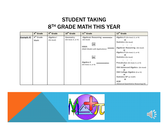## STUDENT TAKING 8<sup>TH</sup> GRADE MATH THIS YEAR

|                   | 8 <sup>th</sup> Grade | $9th$ Grade | 10 <sup>th</sup> Grade | 11 <sup>th</sup> Grade          | 12 <sup>th</sup> Grade                |
|-------------------|-----------------------|-------------|------------------------|---------------------------------|---------------------------------------|
| <b>Example #1</b> | 8 <sup>th</sup> Grade | Algebra I   | Geometry               | Algebraic Reasoning -           | Algebra II (On-level, K, or H)        |
|                   | Math                  | (On-level)  | (On-level, K, or H)    | (On-level)                      |                                       |
|                   |                       |             |                        |                                 | Statistics (On-level)                 |
|                   |                       |             |                        | OR                              |                                       |
|                   |                       |             |                        | <b>MMA</b>                      | Algebraic Reasoning (On-level)        |
|                   |                       |             |                        | (Math Models with Applications) |                                       |
|                   |                       |             |                        |                                 | Algebra II (On-level, K, or H)        |
|                   |                       |             |                        |                                 |                                       |
|                   |                       |             |                        | OR                              | Statistics (On-level)                 |
|                   |                       |             |                        |                                 |                                       |
|                   |                       |             |                        | Algebra II                      | Precalculus (On-level, K, or H)       |
|                   |                       |             |                        | (On-level, K, or H)             |                                       |
|                   |                       |             |                        |                                 | or<br>ISM Advanced Algebra (On-level) |
|                   |                       |             |                        |                                 |                                       |
|                   |                       |             |                        |                                 | or<br>ISM College Algebra (K or H)    |
|                   |                       |             |                        |                                 | or                                    |
|                   |                       |             |                        |                                 | Statistics AP (or H/AP)               |
|                   |                       |             |                        |                                 |                                       |
|                   |                       |             |                        |                                 | AQR                                   |
|                   |                       |             |                        |                                 | (Advanced Quantitative Reasoning) (K) |

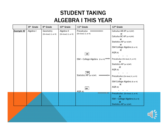## STUDENT TAKING ALGEBRA I THIS YEAR

|                   | 8 <sup>th</sup> Grade | 9 <sup>th</sup> Grade | 10 <sup>th</sup> Grade | 11 <sup>th</sup> Grade                             | 12 <sup>th</sup> Grade                |
|-------------------|-----------------------|-----------------------|------------------------|----------------------------------------------------|---------------------------------------|
| <b>Example #2</b> | Algebra I             | Geometry              | Algebra II             | Precalculus                                        | Calculus AB AP (or H/AP)              |
|                   |                       | (On-level, K, or H)   | (On-level, K, or H)    | (On-level, K, or H)                                | <u>or</u><br>Calculus BC AP (or H/AP) |
|                   |                       |                       |                        |                                                    | <u>or</u>                             |
|                   |                       |                       |                        |                                                    | Statistics AP (or H/AP)               |
|                   |                       |                       |                        |                                                    | or                                    |
|                   |                       |                       |                        |                                                    | ISM College Algebra (K or H)          |
|                   |                       |                       |                        |                                                    | or                                    |
|                   |                       |                       |                        | OR                                                 | AQR(K)                                |
|                   |                       |                       |                        |                                                    |                                       |
|                   |                       |                       |                        | ISM - College Algebra $(K$ or H) $\Longrightarrow$ | Precalculus (On-level, K, or H)       |
|                   |                       |                       |                        |                                                    | $or$<br>Statistics AP (or H/AP)       |
|                   |                       |                       |                        |                                                    | $or$                                  |
|                   |                       |                       |                        |                                                    | AQR (K)                               |
|                   |                       |                       |                        | OR                                                 |                                       |
|                   |                       |                       |                        | Statistics AP (or H/AP)                            | Precalculus (On-level, K, or H)       |
|                   |                       |                       |                        |                                                    | $or$                                  |
|                   |                       |                       |                        |                                                    | ISM College Algebra (K or H)          |
|                   |                       |                       |                        |                                                    | $or$                                  |
|                   |                       |                       |                        | OR                                                 | AQR (K)                               |
|                   |                       |                       |                        | AQR (K)                                            |                                       |
|                   |                       |                       |                        |                                                    | Precalculus (On-level, K, or H)       |
|                   |                       |                       |                        |                                                    | or<br>ISM - College Algebra (K or H)  |
|                   |                       |                       |                        |                                                    | or                                    |
|                   |                       |                       |                        |                                                    | <b>Statistics AP (or H/AP)</b>        |

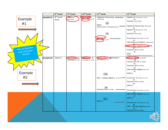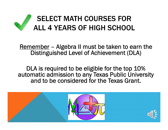# SELECT MATH COURSES FOR ALL 4 YEARS OF HIGH SCHOOL

Remember – Algebra II must be taken to earn the Distinguished Level of Achievement (DLA)

DLA is required to be eligible for the top 10% automatic admission to any Texas Public University and to be considered for the Texas Grant.